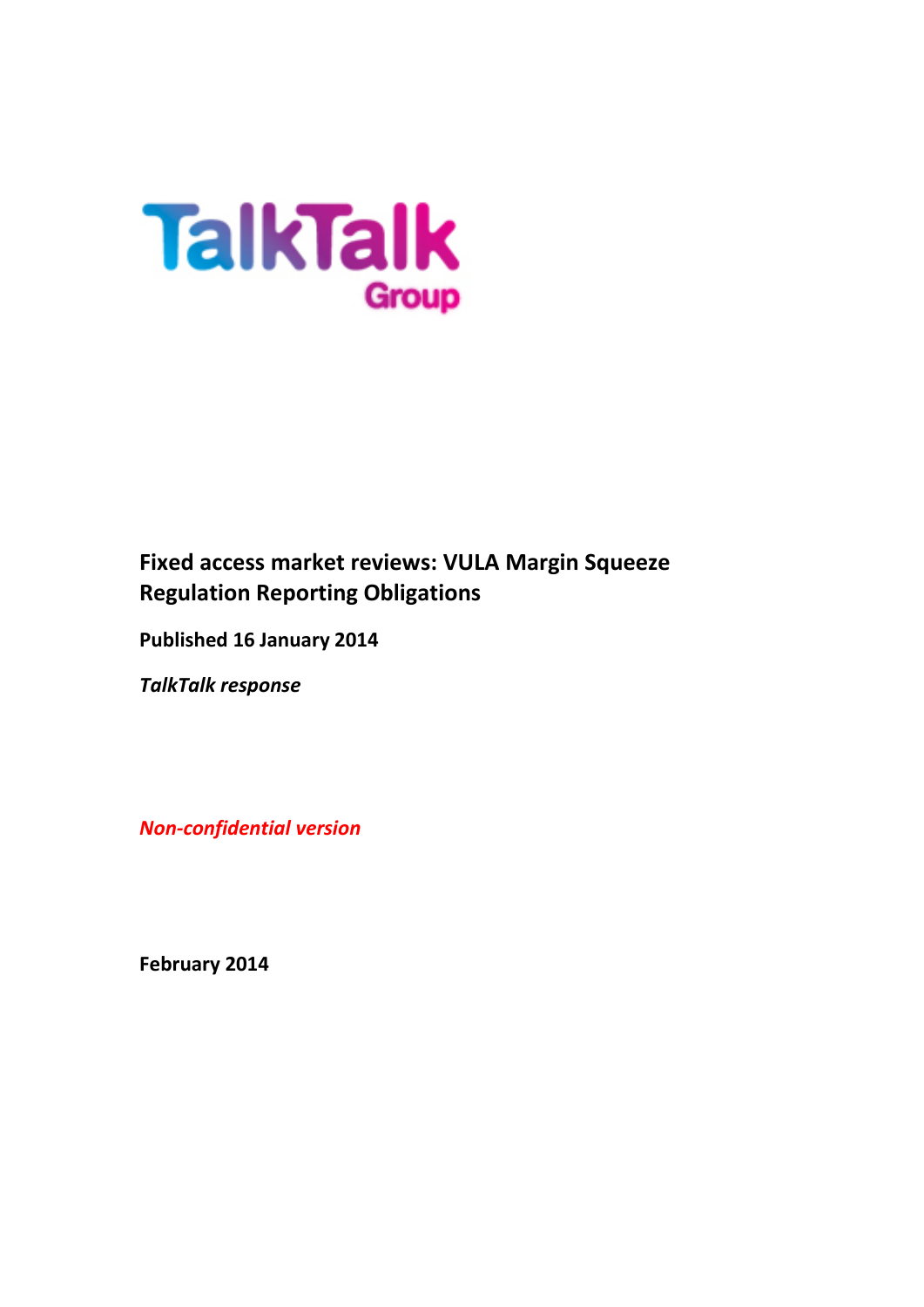

# **Fixed access market reviews: VULA Margin Squeeze Regulation Reporting Obligations**

**Published 16 January 2014**

*TalkTalk response*

*Non-confidential version*

**February 2014**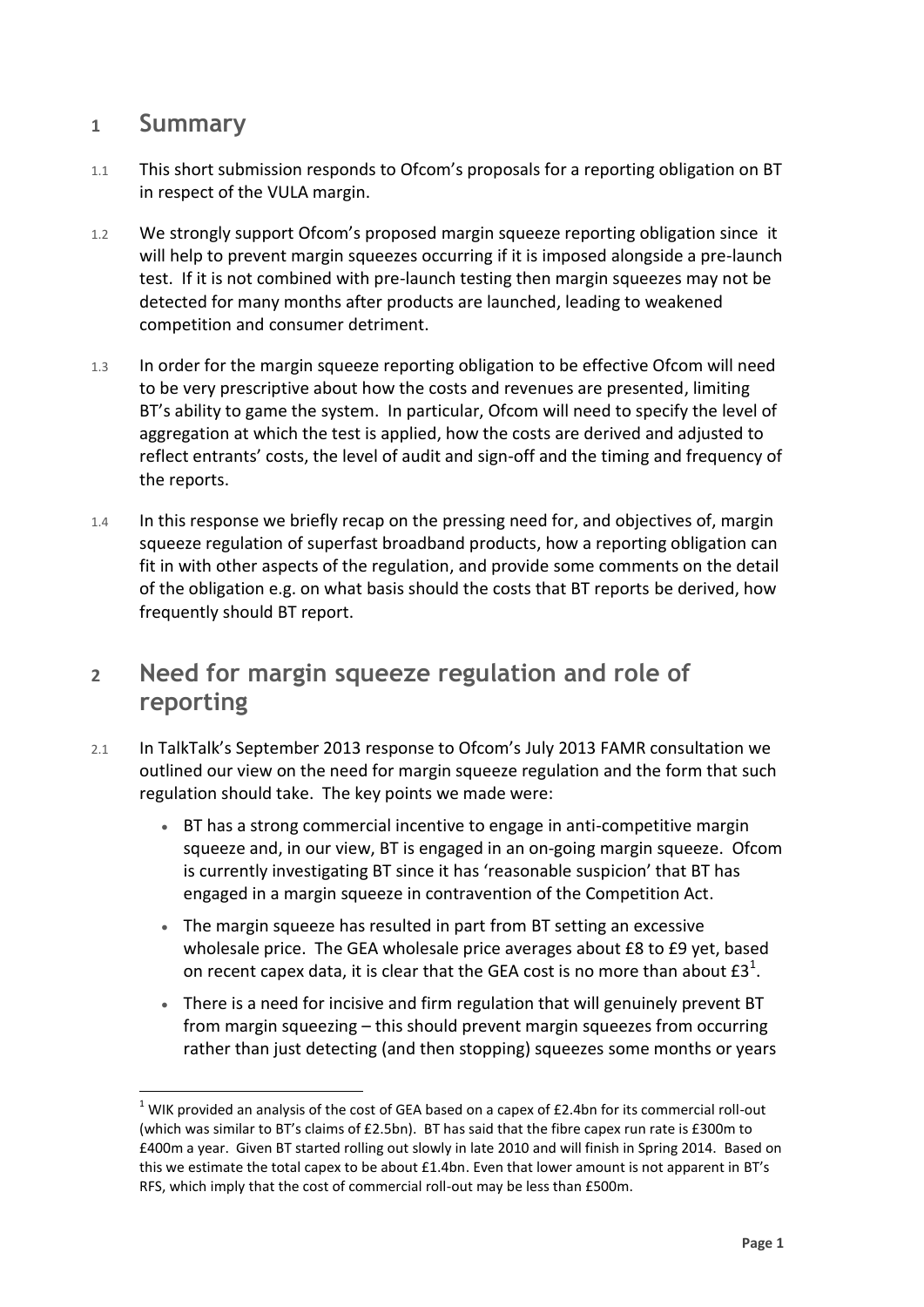### **1 Summary**

 $\overline{a}$ 

- 1.1 This short submission responds to Ofcom's proposals for a reporting obligation on BT in respect of the VULA margin.
- 1.2 We strongly support Ofcom's proposed margin squeeze reporting obligation since it will help to prevent margin squeezes occurring if it is imposed alongside a pre-launch test. If it is not combined with pre-launch testing then margin squeezes may not be detected for many months after products are launched, leading to weakened competition and consumer detriment.
- 1.3 In order for the margin squeeze reporting obligation to be effective Ofcom will need to be very prescriptive about how the costs and revenues are presented, limiting BT's ability to game the system. In particular, Ofcom will need to specify the level of aggregation at which the test is applied, how the costs are derived and adjusted to reflect entrants' costs, the level of audit and sign-off and the timing and frequency of the reports.
- 1.4 In this response we briefly recap on the pressing need for, and objectives of, margin squeeze regulation of superfast broadband products, how a reporting obligation can fit in with other aspects of the regulation, and provide some comments on the detail of the obligation e.g. on what basis should the costs that BT reports be derived, how frequently should BT report.

## **2 Need for margin squeeze regulation and role of reporting**

- 2.1 In TalkTalk's September 2013 response to Ofcom's July 2013 FAMR consultation we outlined our view on the need for margin squeeze regulation and the form that such regulation should take. The key points we made were:
	- BT has a strong commercial incentive to engage in anti-competitive margin squeeze and, in our view, BT is engaged in an on-going margin squeeze. Ofcom is currently investigating BT since it has 'reasonable suspicion' that BT has engaged in a margin squeeze in contravention of the Competition Act.
	- The margin squeeze has resulted in part from BT setting an excessive wholesale price. The GEA wholesale price averages about £8 to £9 yet, based on recent capex data, it is clear that the GEA cost is no more than about  $\text{\rm f3}^1$ .
	- There is a need for incisive and firm regulation that will genuinely prevent BT from margin squeezing – this should prevent margin squeezes from occurring rather than just detecting (and then stopping) squeezes some months or years

 $1$  WIK provided an analysis of the cost of GEA based on a capex of £2.4bn for its commercial roll-out (which was similar to BT's claims of £2.5bn). BT has said that the fibre capex run rate is £300m to £400m a year. Given BT started rolling out slowly in late 2010 and will finish in Spring 2014. Based on this we estimate the total capex to be about £1.4bn. Even that lower amount is not apparent in BT's RFS, which imply that the cost of commercial roll-out may be less than £500m.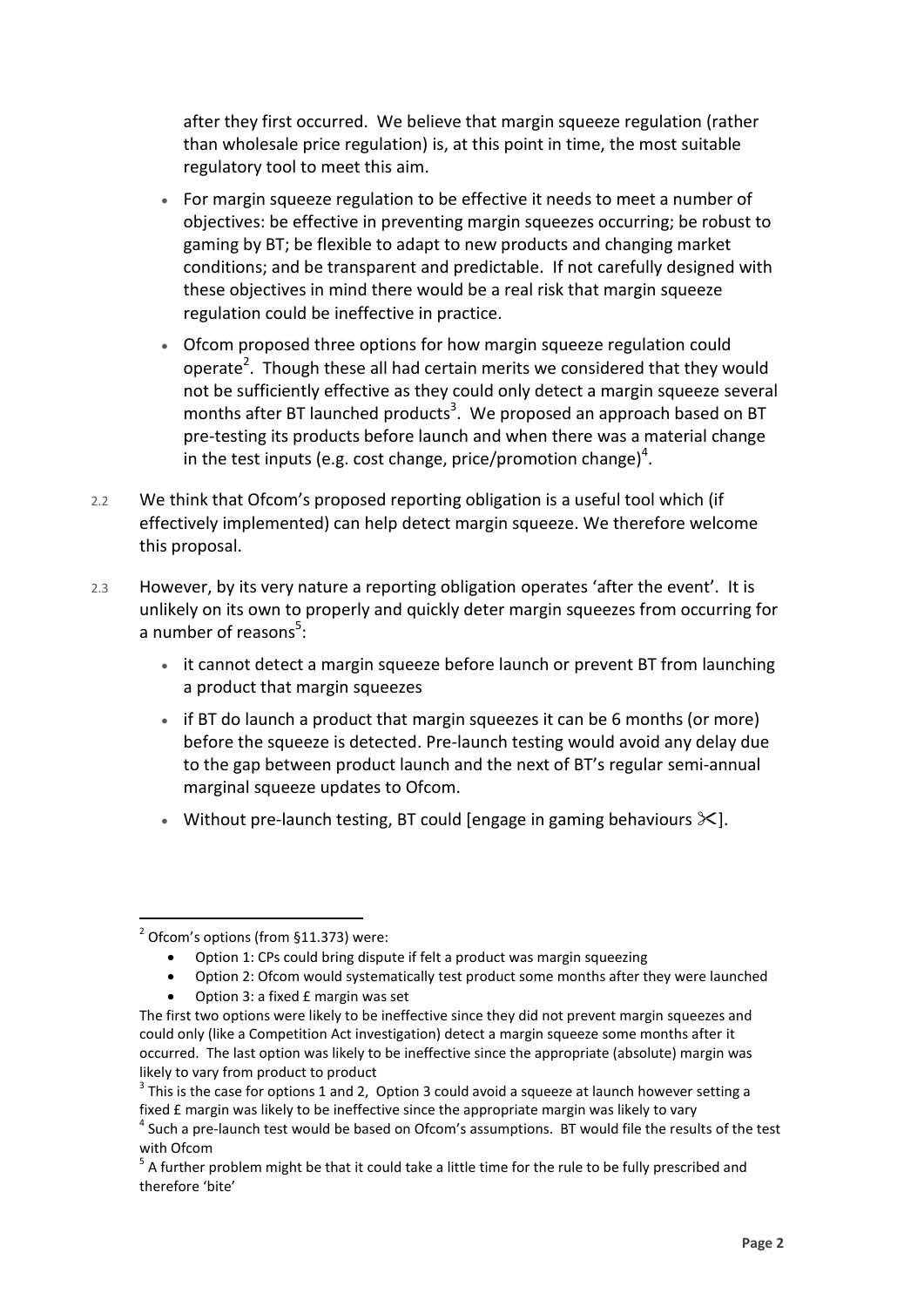after they first occurred. We believe that margin squeeze regulation (rather than wholesale price regulation) is, at this point in time, the most suitable regulatory tool to meet this aim.

- For margin squeeze regulation to be effective it needs to meet a number of objectives: be effective in preventing margin squeezes occurring; be robust to gaming by BT; be flexible to adapt to new products and changing market conditions; and be transparent and predictable. If not carefully designed with these objectives in mind there would be a real risk that margin squeeze regulation could be ineffective in practice.
- Ofcom proposed three options for how margin squeeze regulation could operate<sup>2</sup>. Though these all had certain merits we considered that they would not be sufficiently effective as they could only detect a margin squeeze several months after BT launched products<sup>3</sup>. We proposed an approach based on BT pre-testing its products before launch and when there was a material change in the test inputs (e.g. cost change, price/promotion change)<sup>4</sup>.
- 2.2 We think that Ofcom's proposed reporting obligation is a useful tool which (if effectively implemented) can help detect margin squeeze. We therefore welcome this proposal.
- 2.3 However, by its very nature a reporting obligation operates 'after the event'. It is unlikely on its own to properly and quickly deter margin squeezes from occurring for a number of reasons<sup>5</sup>:
	- it cannot detect a margin squeeze before launch or prevent BT from launching a product that margin squeezes
	- if BT do launch a product that margin squeezes it can be 6 months (or more) before the squeeze is detected. Pre-launch testing would avoid any delay due to the gap between product launch and the next of BT's regular semi-annual marginal squeeze updates to Ofcom.
	- Without pre-launch testing, BT could [engage in gaming behaviours  $\angle$ ].

 $\overline{a}$  $2$  Ofcom's options (from §11.373) were:

Option 1: CPs could bring dispute if felt a product was margin squeezing

Option 2: Ofcom would systematically test product some months after they were launched

Option 3: a fixed £ margin was set

The first two options were likely to be ineffective since they did not prevent margin squeezes and could only (like a Competition Act investigation) detect a margin squeeze some months after it occurred. The last option was likely to be ineffective since the appropriate (absolute) margin was likely to vary from product to product

 $3$  This is the case for options 1 and 2, Option 3 could avoid a squeeze at launch however setting a fixed £ margin was likely to be ineffective since the appropriate margin was likely to vary

 $<sup>4</sup>$  Such a pre-launch test would be based on Ofcom's assumptions. BT would file the results of the test</sup> with Ofcom

 $5$  A further problem might be that it could take a little time for the rule to be fully prescribed and therefore 'bite'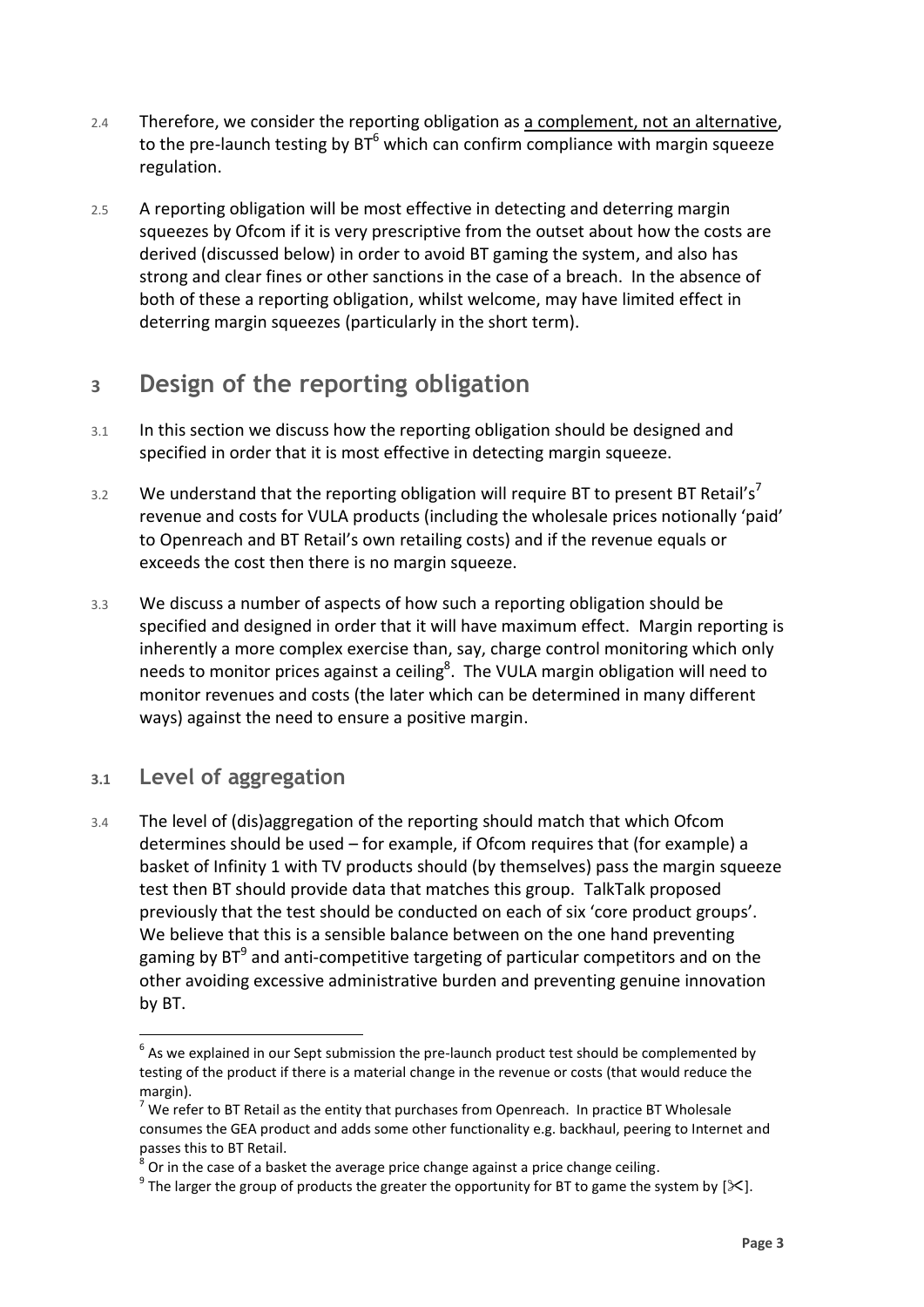- 2.4 Therefore, we consider the reporting obligation as a complement, not an alternative, to the pre-launch testing by  $BT^6$  which can confirm compliance with margin squeeze regulation.
- 2.5 A reporting obligation will be most effective in detecting and deterring margin squeezes by Ofcom if it is very prescriptive from the outset about how the costs are derived (discussed below) in order to avoid BT gaming the system, and also has strong and clear fines or other sanctions in the case of a breach. In the absence of both of these a reporting obligation, whilst welcome, may have limited effect in deterring margin squeezes (particularly in the short term).

# **3 Design of the reporting obligation**

- 3.1 In this section we discuss how the reporting obligation should be designed and specified in order that it is most effective in detecting margin squeeze.
- 3.2 We understand that the reporting obligation will require BT to present BT Retail's<sup>7</sup> revenue and costs for VULA products (including the wholesale prices notionally 'paid' to Openreach and BT Retail's own retailing costs) and if the revenue equals or exceeds the cost then there is no margin squeeze.
- 3.3 We discuss a number of aspects of how such a reporting obligation should be specified and designed in order that it will have maximum effect. Margin reporting is inherently a more complex exercise than, say, charge control monitoring which only needs to monitor prices against a ceiling<sup>8</sup>. The VULA margin obligation will need to monitor revenues and costs (the later which can be determined in many different ways) against the need to ensure a positive margin.

### **3.1 Level of aggregation**

 $\overline{a}$ 

3.4 The level of (dis)aggregation of the reporting should match that which Ofcom determines should be used – for example, if Ofcom requires that (for example) a basket of Infinity 1 with TV products should (by themselves) pass the margin squeeze test then BT should provide data that matches this group. TalkTalk proposed previously that the test should be conducted on each of six 'core product groups'. We believe that this is a sensible balance between on the one hand preventing gaming by BT<sup>9</sup> and anti-competitive targeting of particular competitors and on the other avoiding excessive administrative burden and preventing genuine innovation by BT.

 $<sup>6</sup>$  As we explained in our Sept submission the pre-launch product test should be complemented by</sup> testing of the product if there is a material change in the revenue or costs (that would reduce the margin).

 $7$  We refer to BT Retail as the entity that purchases from Openreach. In practice BT Wholesale consumes the GEA product and adds some other functionality e.g. backhaul, peering to Internet and passes this to BT Retail.

<sup>8</sup> Or in the case of a basket the average price change against a price change ceiling.

 $^9$  The larger the group of products the greater the opportunity for BT to game the system by [ $\boldsymbol{\times}$ ].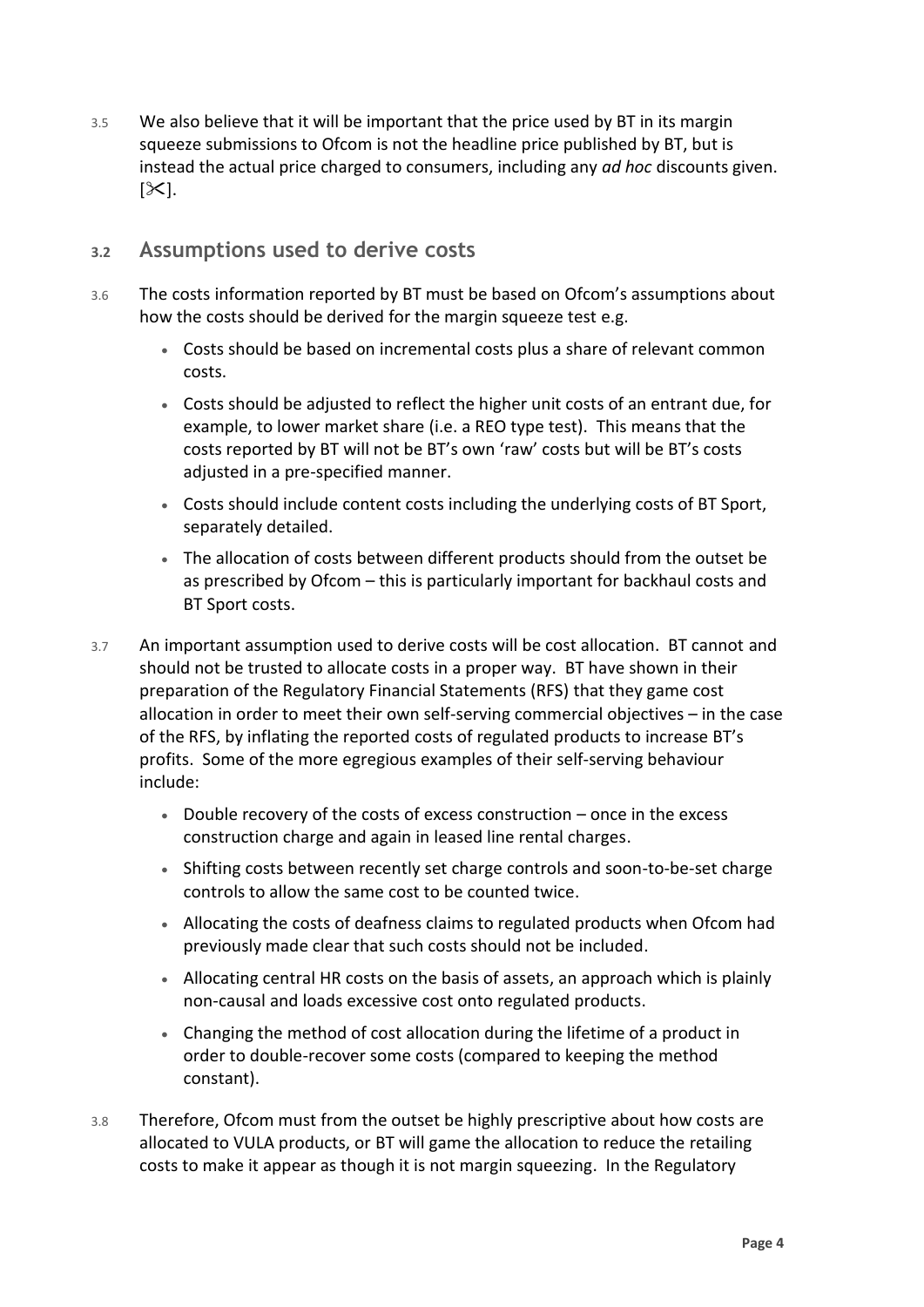3.5 We also believe that it will be important that the price used by BT in its margin squeeze submissions to Ofcom is not the headline price published by BT, but is instead the actual price charged to consumers, including any *ad hoc* discounts given.  $|\mathcal{X}|$ .

#### **3.2 Assumptions used to derive costs**

- 3.6 The costs information reported by BT must be based on Ofcom's assumptions about how the costs should be derived for the margin squeeze test e.g.
	- Costs should be based on incremental costs plus a share of relevant common costs.
	- Costs should be adjusted to reflect the higher unit costs of an entrant due, for example, to lower market share (i.e. a REO type test). This means that the costs reported by BT will not be BT's own 'raw' costs but will be BT's costs adjusted in a pre-specified manner.
	- Costs should include content costs including the underlying costs of BT Sport, separately detailed.
	- The allocation of costs between different products should from the outset be as prescribed by Ofcom – this is particularly important for backhaul costs and BT Sport costs.
- 3.7 An important assumption used to derive costs will be cost allocation. BT cannot and should not be trusted to allocate costs in a proper way. BT have shown in their preparation of the Regulatory Financial Statements (RFS) that they game cost allocation in order to meet their own self-serving commercial objectives – in the case of the RFS, by inflating the reported costs of regulated products to increase BT's profits. Some of the more egregious examples of their self-serving behaviour include:
	- Double recovery of the costs of excess construction once in the excess construction charge and again in leased line rental charges.
	- Shifting costs between recently set charge controls and soon-to-be-set charge controls to allow the same cost to be counted twice.
	- Allocating the costs of deafness claims to regulated products when Ofcom had previously made clear that such costs should not be included.
	- Allocating central HR costs on the basis of assets, an approach which is plainly non-causal and loads excessive cost onto regulated products.
	- Changing the method of cost allocation during the lifetime of a product in order to double-recover some costs (compared to keeping the method constant).
- 3.8 Therefore, Ofcom must from the outset be highly prescriptive about how costs are allocated to VULA products, or BT will game the allocation to reduce the retailing costs to make it appear as though it is not margin squeezing. In the Regulatory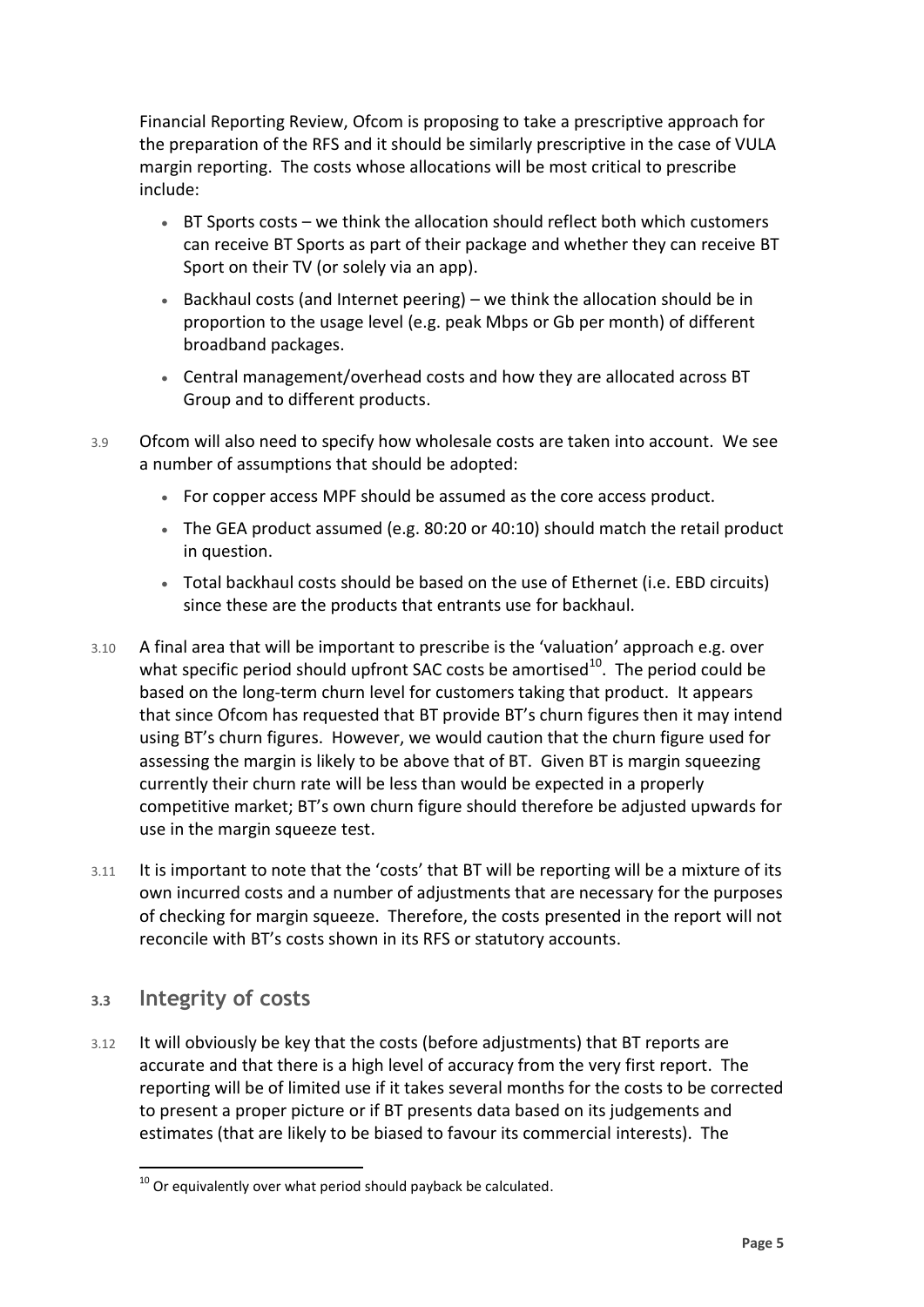Financial Reporting Review, Ofcom is proposing to take a prescriptive approach for the preparation of the RFS and it should be similarly prescriptive in the case of VULA margin reporting. The costs whose allocations will be most critical to prescribe include:

- BT Sports costs we think the allocation should reflect both which customers can receive BT Sports as part of their package and whether they can receive BT Sport on their TV (or solely via an app).
- Backhaul costs (and Internet peering) we think the allocation should be in proportion to the usage level (e.g. peak Mbps or Gb per month) of different broadband packages.
- Central management/overhead costs and how they are allocated across BT Group and to different products.
- 3.9 Ofcom will also need to specify how wholesale costs are taken into account. We see a number of assumptions that should be adopted:
	- For copper access MPF should be assumed as the core access product.
	- The GEA product assumed (e.g. 80:20 or 40:10) should match the retail product in question.
	- Total backhaul costs should be based on the use of Ethernet (i.e. EBD circuits) since these are the products that entrants use for backhaul.
- 3.10 A final area that will be important to prescribe is the 'valuation' approach e.g. over what specific period should upfront SAC costs be amortised<sup>10</sup>. The period could be based on the long-term churn level for customers taking that product. It appears that since Ofcom has requested that BT provide BT's churn figures then it may intend using BT's churn figures. However, we would caution that the churn figure used for assessing the margin is likely to be above that of BT. Given BT is margin squeezing currently their churn rate will be less than would be expected in a properly competitive market; BT's own churn figure should therefore be adjusted upwards for use in the margin squeeze test.
- 3.11 It is important to note that the 'costs' that BT will be reporting will be a mixture of its own incurred costs and a number of adjustments that are necessary for the purposes of checking for margin squeeze. Therefore, the costs presented in the report will not reconcile with BT's costs shown in its RFS or statutory accounts.

### **3.3 Integrity of costs**

3.12 It will obviously be key that the costs (before adjustments) that BT reports are accurate and that there is a high level of accuracy from the very first report. The reporting will be of limited use if it takes several months for the costs to be corrected to present a proper picture or if BT presents data based on its judgements and estimates (that are likely to be biased to favour its commercial interests). The

 $\overline{a}$  $10^{10}$  Or equivalently over what period should payback be calculated.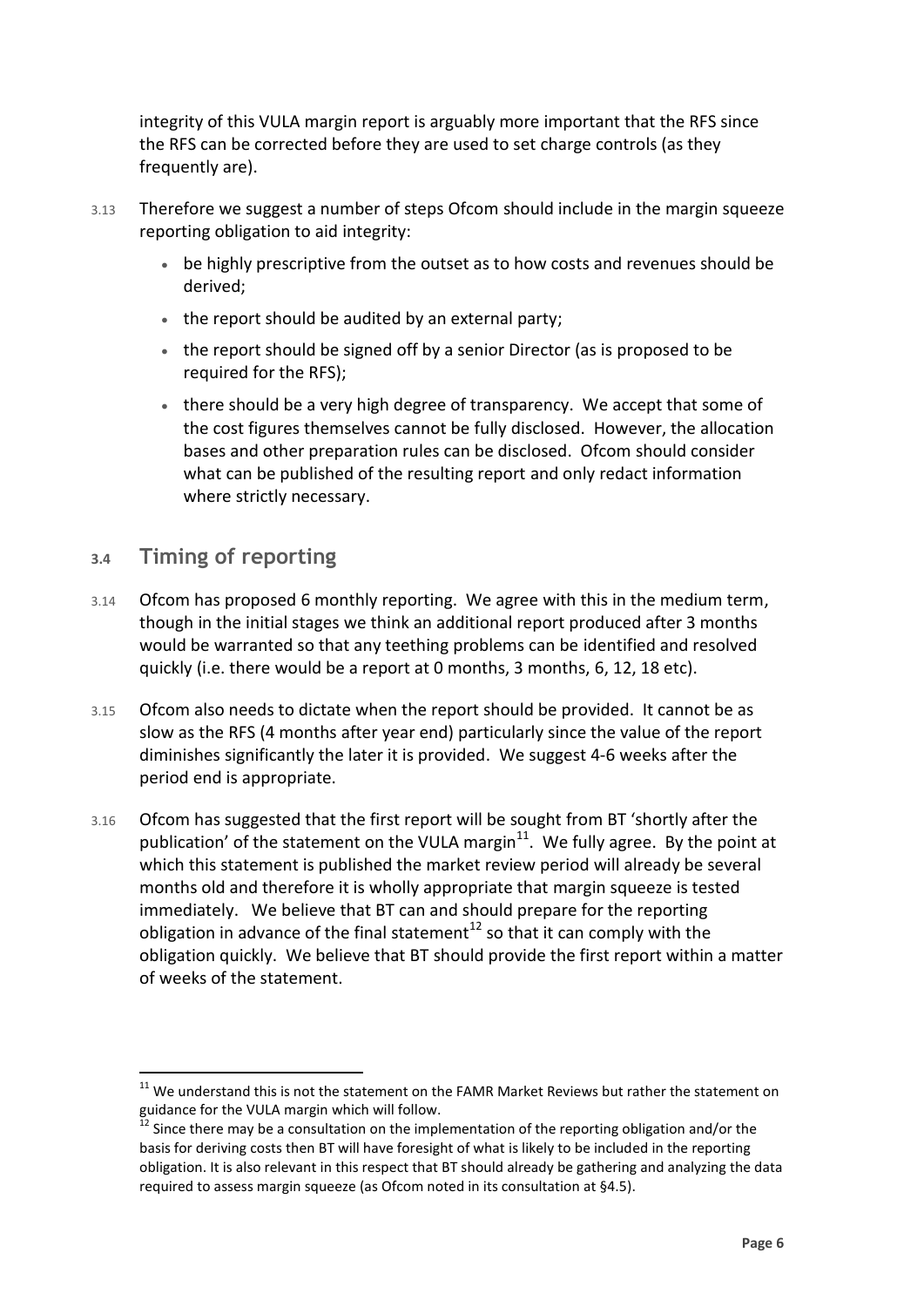integrity of this VULA margin report is arguably more important that the RFS since the RFS can be corrected before they are used to set charge controls (as they frequently are).

- 3.13 Therefore we suggest a number of steps Ofcom should include in the margin squeeze reporting obligation to aid integrity:
	- be highly prescriptive from the outset as to how costs and revenues should be derived;
	- the report should be audited by an external party;
	- the report should be signed off by a senior Director (as is proposed to be required for the RFS);
	- there should be a very high degree of transparency. We accept that some of the cost figures themselves cannot be fully disclosed. However, the allocation bases and other preparation rules can be disclosed. Ofcom should consider what can be published of the resulting report and only redact information where strictly necessary.

### **3.4 Timing of reporting**

 $\overline{a}$ 

- 3.14 Ofcom has proposed 6 monthly reporting. We agree with this in the medium term, though in the initial stages we think an additional report produced after 3 months would be warranted so that any teething problems can be identified and resolved quickly (i.e. there would be a report at 0 months, 3 months, 6, 12, 18 etc).
- 3.15 Ofcom also needs to dictate when the report should be provided. It cannot be as slow as the RFS (4 months after year end) particularly since the value of the report diminishes significantly the later it is provided. We suggest 4-6 weeks after the period end is appropriate.
- 3.16 Ofcom has suggested that the first report will be sought from BT 'shortly after the publication' of the statement on the VULA margin $^{11}$ . We fully agree. By the point at which this statement is published the market review period will already be several months old and therefore it is wholly appropriate that margin squeeze is tested immediately. We believe that BT can and should prepare for the reporting obligation in advance of the final statement<sup>12</sup> so that it can comply with the obligation quickly. We believe that BT should provide the first report within a matter of weeks of the statement.

 $11$  We understand this is not the statement on the FAMR Market Reviews but rather the statement on guidance for the VULA margin which will follow.

 $12$  Since there may be a consultation on the implementation of the reporting obligation and/or the basis for deriving costs then BT will have foresight of what is likely to be included in the reporting obligation. It is also relevant in this respect that BT should already be gathering and analyzing the data required to assess margin squeeze (as Ofcom noted in its consultation at §4.5).